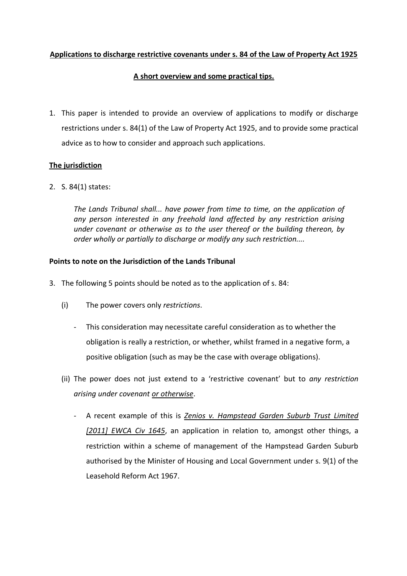# **Applications to discharge restrictive covenants under s. 84 of the Law of Property Act 1925**

## **A short overview and some practical tips.**

1. This paper is intended to provide an overview of applications to modify or discharge restrictions under s. 84(1) of the Law of Property Act 1925, and to provide some practical advice as to how to consider and approach such applications.

## **The jurisdiction**

2. S. 84(1) states:

*The Lands Tribunal shall... have power from time to time, on the application of any person interested in any freehold land affected by any restriction arising under covenant or otherwise as to the user thereof or the building thereon, by order wholly or partially to discharge or modify any such restriction....* 

#### **Points to note on the Jurisdiction of the Lands Tribunal**

- 3. The following 5 points should be noted as to the application of s. 84:
	- (i) The power covers only *restrictions*.
		- This consideration may necessitate careful consideration as to whether the obligation is really a restriction, or whether, whilst framed in a negative form, a positive obligation (such as may be the case with overage obligations).
	- (ii) The power does not just extend to a 'restrictive covenant' but to *any restriction arising under covenant or otherwise*.
		- A recent example of this is *Zenios v. Hampstead Garden Suburb Trust Limited [2011] EWCA Civ 1645*, an application in relation to, amongst other things, a restriction within a scheme of management of the Hampstead Garden Suburb authorised by the Minister of Housing and Local Government under s. 9(1) of the Leasehold Reform Act 1967.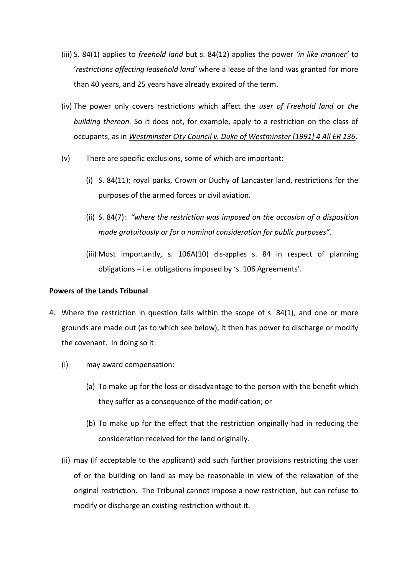- (iii) S. 84(1) applies to *freehold land* but s. 84(12) applies the power *'in like manner'* to '*restrictions affecting leasehold land'* where a lease of the land was granted for more than 40 years, and 25 years have already expired of the term.
- (iv) The power only covers restrictions which affect the *user of Freehold land* or *the building thereon.* So it does not, for example, apply to a restriction on the class of occupants, as in *Westminster City Council v. Duke of Westminster [1991] 4 All ER 136*.
- (v) There are specific exclusions, some of which are important:
	- (i) S. 84(11); royal parks, Crown or Duchy of Lancaster land, restrictions for the purposes of the armed forces or civil aviation.
	- (ii) S. 84(7): *"where the restriction was imposed on the occasion of a disposition made gratuitously or for a nominal consideration for public purposes".*
	- (iii) Most importantly, s. 106A(10) dis-applies s. 84 in respect of planning obligations – i.e. obligations imposed by 's. 106 Agreements'.

#### **Powers of the Lands Tribunal**

- 4. Where the restriction in question falls within the scope of s. 84(1), and one or more grounds are made out (as to which see below), it then has power to discharge or modify the covenant. In doing so it:
	- (i) may award compensation:
		- (a) To make up for the loss or disadvantage to the person with the benefit which they suffer as a consequence of the modification; or
		- (b) To make up for the effect that the restriction originally had in reducing the consideration received for the land originally.
	- (ii) may (if acceptable to the applicant) add such further provisions restricting the user of or the building on land as may be reasonable in view of the relaxation of the original restriction. The Tribunal cannot impose a new restriction, but can refuse to modify or discharge an existing restriction without it.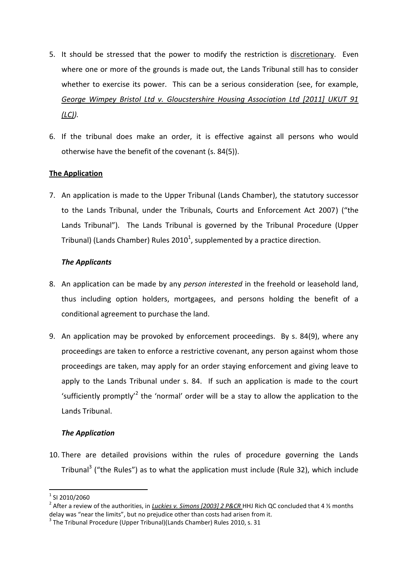- 5. It should be stressed that the power to modify the restriction is discretionary. Even where one or more of the grounds is made out, the Lands Tribunal still has to consider whether to exercise its power. This can be a serious consideration (see, for example, *George Wimpey Bristol Ltd v. Gloucstershire Housing Association Ltd [2011] UKUT 91 (LC)).*
- 6. If the tribunal does make an order, it is effective against all persons who would otherwise have the benefit of the covenant (s. 84(5)).

# **The Application**

7. An application is made to the Upper Tribunal (Lands Chamber), the statutory successor to the Lands Tribunal, under the Tribunals, Courts and Enforcement Act 2007) ("the Lands Tribunal"). The Lands Tribunal is governed by the Tribunal Procedure (Upper Tribunal) (Lands Chamber) Rules 2010<sup>1</sup>, supplemented by a practice direction.

## *The Applicants*

- 8. An application can be made by any *person interested* in the freehold or leasehold land, thus including option holders, mortgagees, and persons holding the benefit of a conditional agreement to purchase the land.
- 9. An application may be provoked by enforcement proceedings. By s. 84(9), where any proceedings are taken to enforce a restrictive covenant, any person against whom those proceedings are taken, may apply for an order staying enforcement and giving leave to apply to the Lands Tribunal under s. 84. If such an application is made to the court 'sufficiently promptly<sup>'2</sup> the 'normal' order will be a stay to allow the application to the Lands Tribunal.

#### *The Application*

10. There are detailed provisions within the rules of procedure governing the Lands Tribunal<sup>3</sup> ("the Rules") as to what the application must include (Rule 32), which include

 $1$  SI 2010/2060

<sup>2</sup> After a review of the authorities, in *Luckies v. Simons [2003] 2 P&CR* HHJ Rich QC concluded that 4 ½ months delay was "near the limits", but no prejudice other than costs had arisen from it.

 $3$  The Tribunal Procedure (Upper Tribunal)(Lands Chamber) Rules 2010, s. 31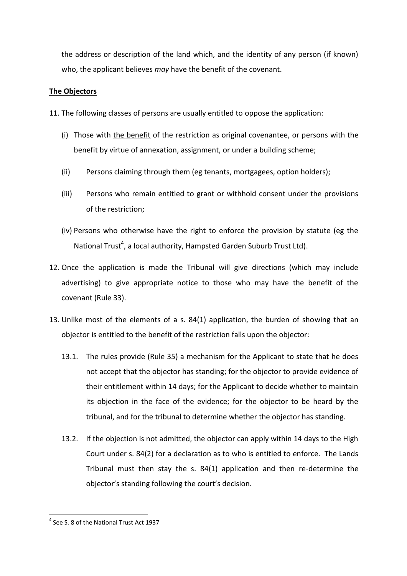the address or description of the land which, and the identity of any person (if known) who, the applicant believes *may* have the benefit of the covenant.

#### **The Objectors**

- 11. The following classes of persons are usually entitled to oppose the application:
	- (i) Those with the benefit of the restriction as original covenantee, or persons with the benefit by virtue of annexation, assignment, or under a building scheme;
	- (ii) Persons claiming through them (eg tenants, mortgagees, option holders);
	- (iii) Persons who remain entitled to grant or withhold consent under the provisions of the restriction;
	- (iv) Persons who otherwise have the right to enforce the provision by statute (eg the National Trust<sup>4</sup>, a local authority, Hampsted Garden Suburb Trust Ltd).
- 12. Once the application is made the Tribunal will give directions (which may include advertising) to give appropriate notice to those who may have the benefit of the covenant (Rule 33).
- 13. Unlike most of the elements of a s. 84(1) application, the burden of showing that an objector is entitled to the benefit of the restriction falls upon the objector:
	- 13.1. The rules provide (Rule 35) a mechanism for the Applicant to state that he does not accept that the objector has standing; for the objector to provide evidence of their entitlement within 14 days; for the Applicant to decide whether to maintain its objection in the face of the evidence; for the objector to be heard by the tribunal, and for the tribunal to determine whether the objector has standing.
	- 13.2. If the objection is not admitted, the objector can apply within 14 days to the High Court under s. 84(2) for a declaration as to who is entitled to enforce. The Lands Tribunal must then stay the s. 84(1) application and then re-determine the objector's standing following the court's decision.

**<sup>.</sup>** 4 See S. 8 of the National Trust Act 1937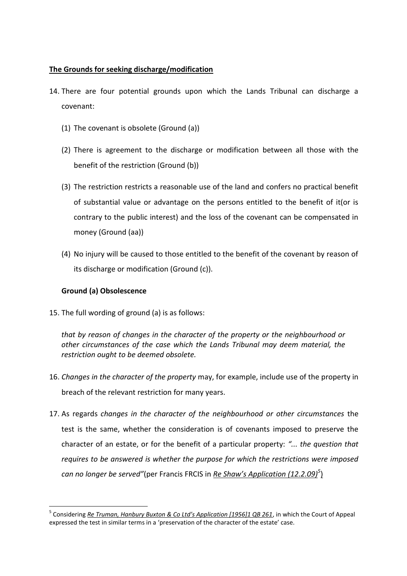# **The Grounds for seeking discharge/modification**

- 14. There are four potential grounds upon which the Lands Tribunal can discharge a covenant:
	- (1) The covenant is obsolete (Ground (a))
	- (2) There is agreement to the discharge or modification between all those with the benefit of the restriction (Ground (b))
	- (3) The restriction restricts a reasonable use of the land and confers no practical benefit of substantial value or advantage on the persons entitled to the benefit of it(or is contrary to the public interest) and the loss of the covenant can be compensated in money (Ground (aa))
	- (4) No injury will be caused to those entitled to the benefit of the covenant by reason of its discharge or modification (Ground (c)).

# **Ground (a) Obsolescence**

**.** 

15. The full wording of ground (a) is as follows:

*that by reason of changes in the character of the property or the neighbourhood or other circumstances of the case which the Lands Tribunal may deem material, the restriction ought to be deemed obsolete.* 

- 16. *Changes in the character of the property* may, for example, include use of the property in breach of the relevant restriction for many years.
- 17. As regards *changes in the character of the neighbourhood or other circumstances* the test is the same, whether the consideration is of covenants imposed to preserve the character of an estate, or for the benefit of a particular property: *"... the question that requires to be answered is whether the purpose for which the restrictions were imposed can no longer be served"*(per Francis FRCIS in *Re Shaw's Application (12.2.09)<sup>5</sup>* )

<sup>5</sup> Considering *Re Truman, Hanbury Buxton & Co Ltd's Application [1956]1 QB 261*, in which the Court of Appeal expressed the test in similar terms in a 'preservation of the character of the estate' case.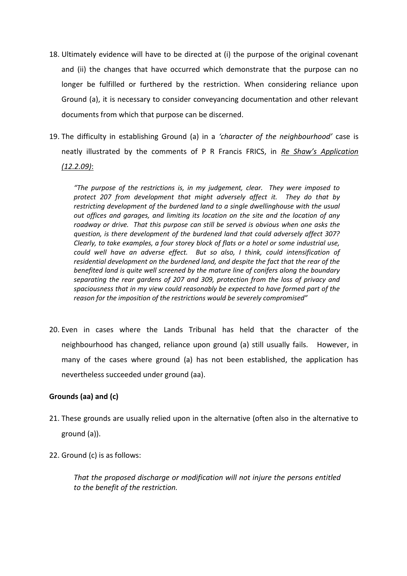- 18. Ultimately evidence will have to be directed at (i) the purpose of the original covenant and (ii) the changes that have occurred which demonstrate that the purpose can no longer be fulfilled or furthered by the restriction. When considering reliance upon Ground (a), it is necessary to consider conveyancing documentation and other relevant documents from which that purpose can be discerned.
- 19. The difficulty in establishing Ground (a) in a *'character of the neighbourhood'* case is neatly illustrated by the comments of P R Francis FRICS, in *Re Shaw's Application* 
	- *(12.2.09)*:

*"The purpose of the restrictions is, in my judgement, clear. They were imposed to protect 207 from development that might adversely affect it. They do that by restricting development of the burdened land to a single dwellinghouse with the usual out offices and garages, and limiting its location on the site and the location of any roadway or drive. That this purpose can still be served is obvious when one asks the question, is there development of the burdened land that could adversely affect 307? Clearly, to take examples, a four storey block of flats or a hotel or some industrial use, could well have an adverse effect. But so also, I think, could intensification of residential development on the burdened land, and despite the fact that the rear of the benefited land is quite well screened by the mature line of conifers along the boundary separating the rear gardens of 207 and 309, protection from the loss of privacy and spaciousness that in my view could reasonably be expected to have formed part of the reason for the imposition of the restrictions would be severely compromised"*

20. Even in cases where the Lands Tribunal has held that the character of the neighbourhood has changed, reliance upon ground (a) still usually fails. However, in many of the cases where ground (a) has not been established, the application has nevertheless succeeded under ground (aa).

#### **Grounds (aa) and (c)**

- 21. These grounds are usually relied upon in the alternative (often also in the alternative to ground (a)).
- 22. Ground (c) is as follows:

*That the proposed discharge or modification will not injure the persons entitled to the benefit of the restriction.*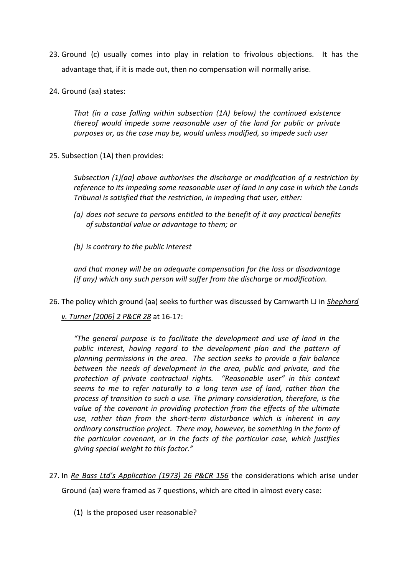- 23. Ground (c) usually comes into play in relation to frivolous objections. It has the advantage that, if it is made out, then no compensation will normally arise.
- 24. Ground (aa) states:

*That (in a case falling within subsection (1A) below) the continued existence thereof would impede some reasonable user of the land for public or private purposes or, as the case may be, would unless modified, so impede such user* 

25. Subsection (1A) then provides:

*Subsection (1)(aa) above authorises the discharge or modification of a restriction by reference to its impeding some reasonable user of land in any case in which the Lands Tribunal is satisfied that the restriction, in impeding that user, either:* 

- *(a) does not secure to persons entitled to the benefit of it any practical benefits of substantial value or advantage to them; or*
- *(b) is contrary to the public interest*

*and that money will be an adequate compensation for the loss or disadvantage (if any) which any such person will suffer from the discharge or modification.* 

26. The policy which ground (aa) seeks to further was discussed by Carnwarth LJ in *Shephard* 

*v. Turner [2006] 2 P&CR 28* at 16-17:

*"The general purpose is to facilitate the development and use of land in the public interest, having regard to the development plan and the pattern of planning permissions in the area. The section seeks to provide a fair balance between the needs of development in the area, public and private, and the protection of private contractual rights. "Reasonable user" in this context seems to me to refer naturally to a long term use of land, rather than the process of transition to such a use. The primary consideration, therefore, is the value of the covenant in providing protection from the effects of the ultimate use, rather than from the short-term disturbance which is inherent in any ordinary construction project. There may, however, be something in the form of the particular covenant, or in the facts of the particular case, which justifies giving special weight to this factor."*

27. In *Re Bass Ltd's Application (1973) 26 P&CR 156* the considerations which arise under

Ground (aa) were framed as 7 questions, which are cited in almost every case:

(1) Is the proposed user reasonable?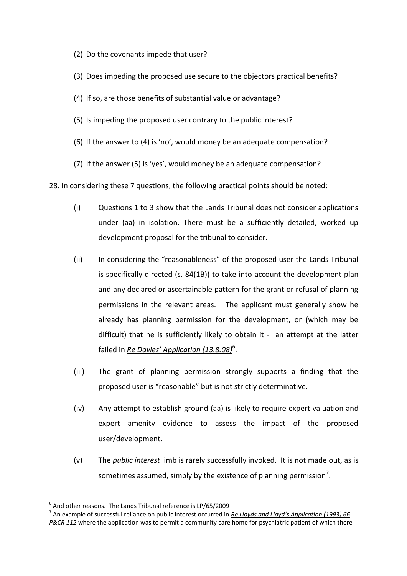- (2) Do the covenants impede that user?
- (3) Does impeding the proposed use secure to the objectors practical benefits?
- (4) If so, are those benefits of substantial value or advantage?
- (5) Is impeding the proposed user contrary to the public interest?
- (6) If the answer to (4) is 'no', would money be an adequate compensation?
- (7) If the answer (5) is 'yes', would money be an adequate compensation?

28. In considering these 7 questions, the following practical points should be noted:

- (i) Questions 1 to 3 show that the Lands Tribunal does not consider applications under (aa) in isolation. There must be a sufficiently detailed, worked up development proposal for the tribunal to consider.
- (ii) In considering the "reasonableness" of the proposed user the Lands Tribunal is specifically directed (s. 84(1B)) to take into account the development plan and any declared or ascertainable pattern for the grant or refusal of planning permissions in the relevant areas. The applicant must generally show he already has planning permission for the development, or (which may be difficult) that he is sufficiently likely to obtain it - an attempt at the latter failed in *Re Davies' Application (13.8.08)*<sup>6</sup>.
- (iii) The grant of planning permission strongly supports a finding that the proposed user is "reasonable" but is not strictly determinative.
- (iv) Any attempt to establish ground (aa) is likely to require expert valuation and expert amenity evidence to assess the impact of the proposed user/development.
- (v) The *public interest* limb is rarely successfully invoked. It is not made out, as is sometimes assumed, simply by the existence of planning permission<sup>7</sup>.

<sup>6</sup> And other reasons. The Lands Tribunal reference is LP/65/2009

<sup>7</sup> An example of successful reliance on public interest occurred in *Re Lloyds and Lloyd's Application (1993) 66 P&CR 112* where the application was to permit a community care home for psychiatric patient of which there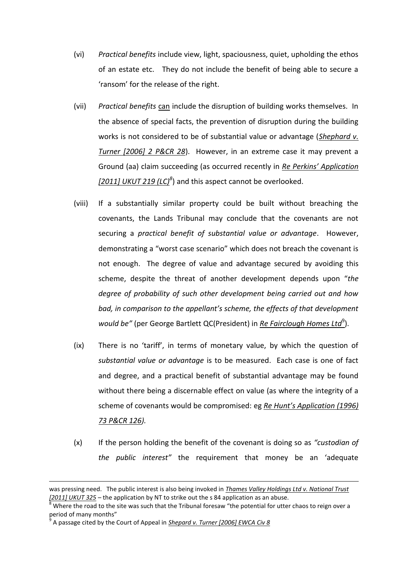- (vi) *Practical benefits* include view, light, spaciousness, quiet, upholding the ethos of an estate etc. They do not include the benefit of being able to secure a 'ransom' for the release of the right.
- (vii) *Practical benefits* can include the disruption of building works themselves. In the absence of special facts, the prevention of disruption during the building works is not considered to be of substantial value or advantage (*Shephard v. Turner [2006] 2 P&CR 28*). However, in an extreme case it may prevent a Ground (aa) claim succeeding (as occurred recently in *Re Perkins' Application [2011] UKUT 219 (LC)<sup>8</sup>* ) and this aspect cannot be overlooked.
- (viii) If a substantially similar property could be built without breaching the covenants, the Lands Tribunal may conclude that the covenants are not securing a *practical benefit of substantial value or advantage*. However, demonstrating a "worst case scenario" which does not breach the covenant is not enough. The degree of value and advantage secured by avoiding this scheme, despite the threat of another development depends upon "*the degree of probability of such other development being carried out and how bad, in comparison to the appellant's scheme, the effects of that development*  would be" (per George Bartlett QC(President) in *Re Fairclough Homes Ltd*<sup>9</sup>).
- (ix) There is no 'tariff', in terms of monetary value, by which the question of *substantial value or advantage* is to be measured. Each case is one of fact and degree, and a practical benefit of substantial advantage may be found without there being a discernable effect on value (as where the integrity of a scheme of covenants would be compromised: eg *Re Hunt's Application (1996) 73 P&CR 126).*
- (x) If the person holding the benefit of the covenant is doing so as *"custodian of the public interest"* the requirement that money be an 'adequate

 $\overline{a}$ 

was pressing need. The public interest is also being invoked in *Thames Valley Holdings Ltd v. National Trust [2011] UKUT 325* – the application by NT to strike out the s 84 application as an abuse.

Where the road to the site was such that the Tribunal foresaw "the potential for utter chaos to reign over a period of many months"

<sup>9</sup> A passage cited by the Court of Appeal in *Shepard v. Turner [2006] EWCA Civ 8*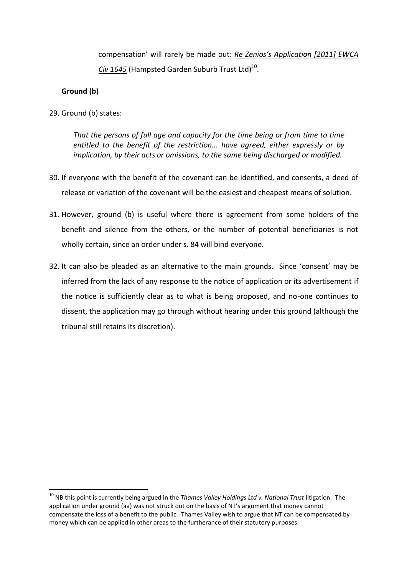compensation' will rarely be made out: *Re Zenios's Application [2011] EWCA*  Civ 1645 (Hampsted Garden Suburb Trust Ltd)<sup>10</sup>.

# **Ground (b)**

**.** 

29. Ground (b) states:

*That the persons of full age and capacity for the time being or from time to time entitled to the benefit of the restriction... have agreed, either expressly or by implication, by their acts or omissions, to the same being discharged or modified.*

- 30. If everyone with the benefit of the covenant can be identified, and consents, a deed of release or variation of the covenant will be the easiest and cheapest means of solution.
- 31. However, ground (b) is useful where there is agreement from some holders of the benefit and silence from the others, or the number of potential beneficiaries is not wholly certain, since an order under s. 84 will bind everyone.
- 32. It can also be pleaded as an alternative to the main grounds. Since 'consent' may be inferred from the lack of any response to the notice of application or its advertisement if the notice is sufficiently clear as to what is being proposed, and no-one continues to dissent, the application may go through without hearing under this ground (although the tribunal still retains its discretion).

<sup>10</sup> NB this point is currently being argued in the *Thames Valley Holdings Ltd v. National Trust* litigation. The application under ground (aa) was not struck out on the basis of NT's argument that money cannot compensate the loss of a benefit to the public. Thames Valley wish to argue that NT can be compensated by money which can be applied in other areas to the furtherance of their statutory purposes.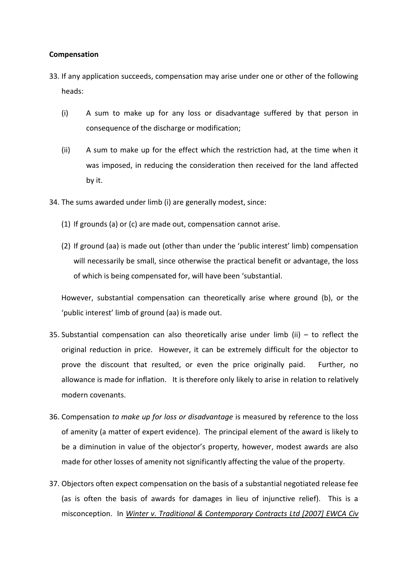#### **Compensation**

- 33. If any application succeeds, compensation may arise under one or other of the following heads:
	- (i) A sum to make up for any loss or disadvantage suffered by that person in consequence of the discharge or modification;
	- (ii) A sum to make up for the effect which the restriction had, at the time when it was imposed, in reducing the consideration then received for the land affected by it.
- 34. The sums awarded under limb (i) are generally modest, since:
	- (1) If grounds (a) or (c) are made out, compensation cannot arise.
	- (2) If ground (aa) is made out (other than under the 'public interest' limb) compensation will necessarily be small, since otherwise the practical benefit or advantage, the loss of which is being compensated for, will have been 'substantial.

However, substantial compensation can theoretically arise where ground (b), or the 'public interest' limb of ground (aa) is made out.

- 35. Substantial compensation can also theoretically arise under limb (ii) to reflect the original reduction in price. However, it can be extremely difficult for the objector to prove the discount that resulted, or even the price originally paid. Further, no allowance is made for inflation. It is therefore only likely to arise in relation to relatively modern covenants.
- 36. Compensation *to make up for loss or disadvantage* is measured by reference to the loss of amenity (a matter of expert evidence). The principal element of the award is likely to be a diminution in value of the objector's property, however, modest awards are also made for other losses of amenity not significantly affecting the value of the property.
- 37. Objectors often expect compensation on the basis of a substantial negotiated release fee (as is often the basis of awards for damages in lieu of injunctive relief). This is a misconception. In *Winter v. Traditional & Contemporary Contracts Ltd [2007] EWCA Civ*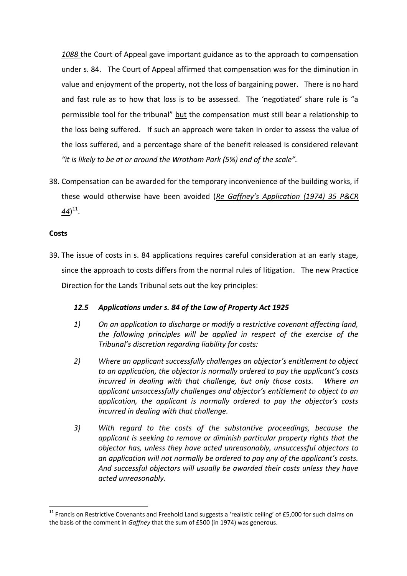*1088* the Court of Appeal gave important guidance as to the approach to compensation under s. 84. The Court of Appeal affirmed that compensation was for the diminution in value and enjoyment of the property, not the loss of bargaining power. There is no hard and fast rule as to how that loss is to be assessed. The 'negotiated' share rule is "a permissible tool for the tribunal" but the compensation must still bear a relationship to the loss being suffered. If such an approach were taken in order to assess the value of the loss suffered, and a percentage share of the benefit released is considered relevant *"it is likely to be at or around the Wrotham Park (5%) end of the scale".* 

38. Compensation can be awarded for the temporary inconvenience of the building works, if these would otherwise have been avoided (*Re Gaffney's Application (1974) 35 P&CR 44*) 11 .

# **Costs**

**.** 

39. The issue of costs in s. 84 applications requires careful consideration at an early stage, since the approach to costs differs from the normal rules of litigation. The new Practice Direction for the Lands Tribunal sets out the key principles:

#### *12.5 Applications under s. 84 of the Law of Property Act 1925*

- *1) On an application to discharge or modify a restrictive covenant affecting land, the following principles will be applied in respect of the exercise of the Tribunal's discretion regarding liability for costs:*
- *2) Where an applicant successfully challenges an objector's entitlement to object to an application, the objector is normally ordered to pay the applicant's costs incurred in dealing with that challenge, but only those costs. Where an applicant unsuccessfully challenges and objector's entitlement to object to an application, the applicant is normally ordered to pay the objector's costs incurred in dealing with that challenge.*
- *3) With regard to the costs of the substantive proceedings, because the applicant is seeking to remove or diminish particular property rights that the objector has, unless they have acted unreasonably, unsuccessful objectors to an application will not normally be ordered to pay any of the applicant's costs. And successful objectors will usually be awarded their costs unless they have acted unreasonably.*

 $11$  Francis on Restrictive Covenants and Freehold Land suggests a 'realistic ceiling' of £5,000 for such claims on the basis of the comment in *Gaffney* that the sum of £500 (in 1974) was generous.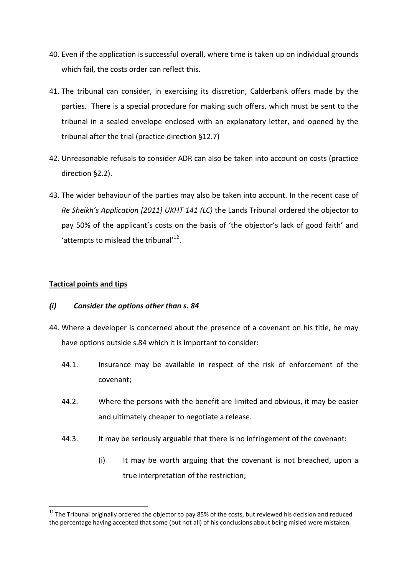- 40. Even if the application is successful overall, where time is taken up on individual grounds which fail, the costs order can reflect this.
- 41. The tribunal can consider, in exercising its discretion, Calderbank offers made by the parties. There is a special procedure for making such offers, which must be sent to the tribunal in a sealed envelope enclosed with an explanatory letter, and opened by the tribunal after the trial (practice direction §12.7)
- 42. Unreasonable refusals to consider ADR can also be taken into account on costs (practice direction §2.2).
- 43. The wider behaviour of the parties may also be taken into account. In the recent case of *Re Sheikh's Application [2011] UKHT 141 (LC)* the Lands Tribunal ordered the objector to pay 50% of the applicant's costs on the basis of 'the objector's lack of good faith' and 'attempts to mislead the tribunal'<sup>12</sup>.

# **Tactical points and tips**

**.** 

#### *(i) Consider the options other than s. 84*

- 44. Where a developer is concerned about the presence of a covenant on his title, he may have options outside s.84 which it is important to consider:
	- 44.1. Insurance may be available in respect of the risk of enforcement of the covenant;
	- 44.2. Where the persons with the benefit are limited and obvious, it may be easier and ultimately cheaper to negotiate a release.
	- 44.3. It may be seriously arguable that there is no infringement of the covenant:
		- (i) It may be worth arguing that the covenant is not breached, upon a true interpretation of the restriction;

 $12$  The Tribunal originally ordered the objector to pay 85% of the costs, but reviewed his decision and reduced the percentage having accepted that some (but not all) of his conclusions about being misled were mistaken.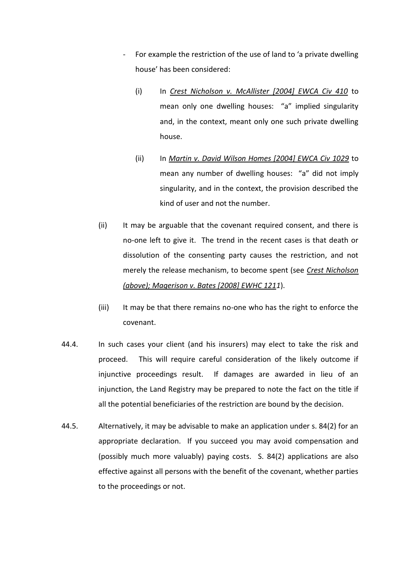- For example the restriction of the use of land to 'a private dwelling house' has been considered:
	- (i) In *Crest Nicholson v. McAllister [2004] EWCA Civ 410* to mean only one dwelling houses: "a" implied singularity and, in the context, meant only one such private dwelling house.
	- (ii) In *Martin v. David Wilson Homes [2004] EWCA Civ 1029* to mean any number of dwelling houses: "a" did not imply singularity, and in the context, the provision described the kind of user and not the number.
- (ii) It may be arguable that the covenant required consent, and there is no-one left to give it. The trend in the recent cases is that death or dissolution of the consenting party causes the restriction, and not merely the release mechanism, to become spent (see *Crest Nicholson (above); Magerison v. Bates [2008] EWHC 1211*).
- (iii) It may be that there remains no-one who has the right to enforce the covenant.
- 44.4. In such cases your client (and his insurers) may elect to take the risk and proceed. This will require careful consideration of the likely outcome if injunctive proceedings result. If damages are awarded in lieu of an injunction, the Land Registry may be prepared to note the fact on the title if all the potential beneficiaries of the restriction are bound by the decision.
- 44.5. Alternatively, it may be advisable to make an application under s. 84(2) for an appropriate declaration. If you succeed you may avoid compensation and (possibly much more valuably) paying costs. S. 84(2) applications are also effective against all persons with the benefit of the covenant, whether parties to the proceedings or not.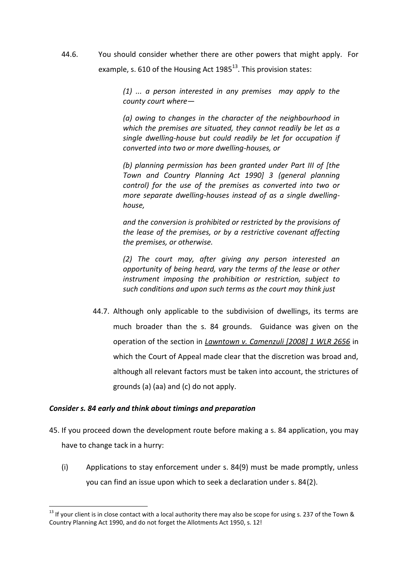44.6. You should consider whether there are other powers that might apply. For example, s. 610 of the Housing Act  $1985^{13}$ . This provision states:

> *(1) ... a person interested in any premises may apply to the county court where—*

> *(a) owing to changes in the character of the neighbourhood in which the premises are situated, they cannot readily be let as a single dwelling-house but could readily be let for occupation if converted into two or more dwelling-houses, or*

> *(b) planning permission has been granted under Part III of [the Town and Country Planning Act 1990] 3 (general planning control) for the use of the premises as converted into two or more separate dwelling-houses instead of as a single dwellinghouse,*

> *and the conversion is prohibited or restricted by the provisions of the lease of the premises, or by a restrictive covenant affecting the premises, or otherwise.*

> *(2) The court may, after giving any person interested an opportunity of being heard, vary the terms of the lease or other instrument imposing the prohibition or restriction, subject to such conditions and upon such terms as the court may think just*

44.7. Although only applicable to the subdivision of dwellings, its terms are much broader than the s. 84 grounds. Guidance was given on the operation of the section in *Lawntown v. Camenzuli [2008] 1 WLR 2656* in which the Court of Appeal made clear that the discretion was broad and, although all relevant factors must be taken into account, the strictures of grounds (a) (aa) and (c) do not apply.

#### *Consider s. 84 early and think about timings and preparation*

- 45. If you proceed down the development route before making a s. 84 application, you may have to change tack in a hurry:
	- (i) Applications to stay enforcement under s. 84(9) must be made promptly, unless you can find an issue upon which to seek a declaration under s. 84(2).

 $^{13}$  If your client is in close contact with a local authority there may also be scope for using s. 237 of the Town & Country Planning Act 1990, and do not forget the Allotments Act 1950, s. 12!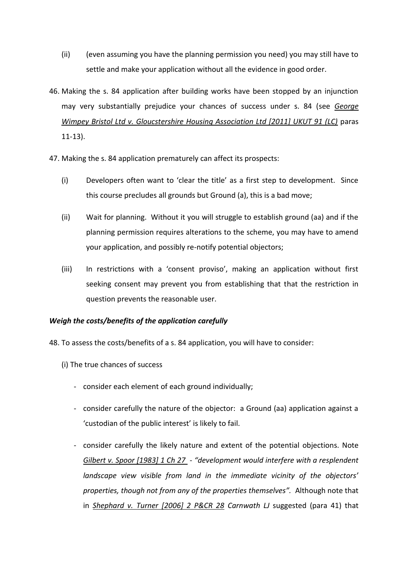- (ii) (even assuming you have the planning permission you need) you may still have to settle and make your application without all the evidence in good order.
- 46. Making the s. 84 application after building works have been stopped by an injunction may very substantially prejudice your chances of success under s. 84 (see *George Wimpey Bristol Ltd v. Gloucstershire Housing Association Ltd [2011] UKUT 91 (LC)* paras 11-13).
- 47. Making the s. 84 application prematurely can affect its prospects:
	- (i) Developers often want to 'clear the title' as a first step to development. Since this course precludes all grounds but Ground (a), this is a bad move;
	- (ii) Wait for planning. Without it you will struggle to establish ground (aa) and if the planning permission requires alterations to the scheme, you may have to amend your application, and possibly re-notify potential objectors;
	- (iii) In restrictions with a 'consent proviso', making an application without first seeking consent may prevent you from establishing that that the restriction in question prevents the reasonable user.

# *Weigh the costs/benefits of the application carefully*

- 48. To assess the costs/benefits of a s. 84 application, you will have to consider:
	- (i) The true chances of success
		- consider each element of each ground individually;
		- consider carefully the nature of the objector: a Ground (aa) application against a 'custodian of the public interest' is likely to fail.
		- consider carefully the likely nature and extent of the potential objections. Note *Gilbert v. Spoor [1983] 1 Ch 27* - *"development would interfere with a resplendent landscape view visible from land in the immediate vicinity of the objectors' properties, though not from any of the properties themselves".* Although note that in *Shephard v. Turner [2006] 2 P&CR 28 Carnwath LJ* suggested (para 41) that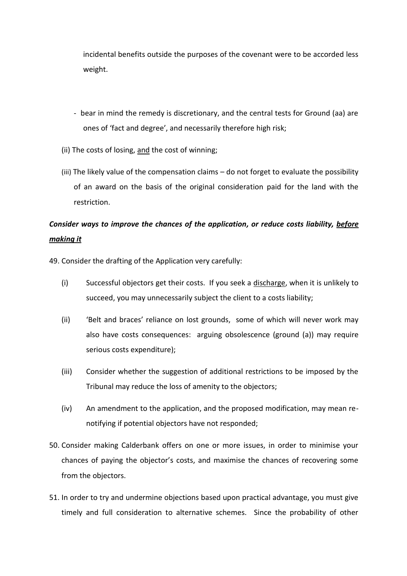incidental benefits outside the purposes of the covenant were to be accorded less weight.

- bear in mind the remedy is discretionary, and the central tests for Ground (aa) are ones of 'fact and degree', and necessarily therefore high risk;
- (ii) The costs of losing, and the cost of winning;
- (iii) The likely value of the compensation claims do not forget to evaluate the possibility of an award on the basis of the original consideration paid for the land with the restriction.

# *Consider ways to improve the chances of the application, or reduce costs liability, before making it*

- 49. Consider the drafting of the Application very carefully:
	- (i) Successful objectors get their costs. If you seek a discharge, when it is unlikely to succeed, you may unnecessarily subject the client to a costs liability;
	- (ii) 'Belt and braces' reliance on lost grounds, some of which will never work may also have costs consequences: arguing obsolescence (ground (a)) may require serious costs expenditure);
	- (iii) Consider whether the suggestion of additional restrictions to be imposed by the Tribunal may reduce the loss of amenity to the objectors;
	- (iv) An amendment to the application, and the proposed modification, may mean renotifying if potential objectors have not responded;
- 50. Consider making Calderbank offers on one or more issues, in order to minimise your chances of paying the objector's costs, and maximise the chances of recovering some from the objectors.
- 51. In order to try and undermine objections based upon practical advantage, you must give timely and full consideration to alternative schemes. Since the probability of other